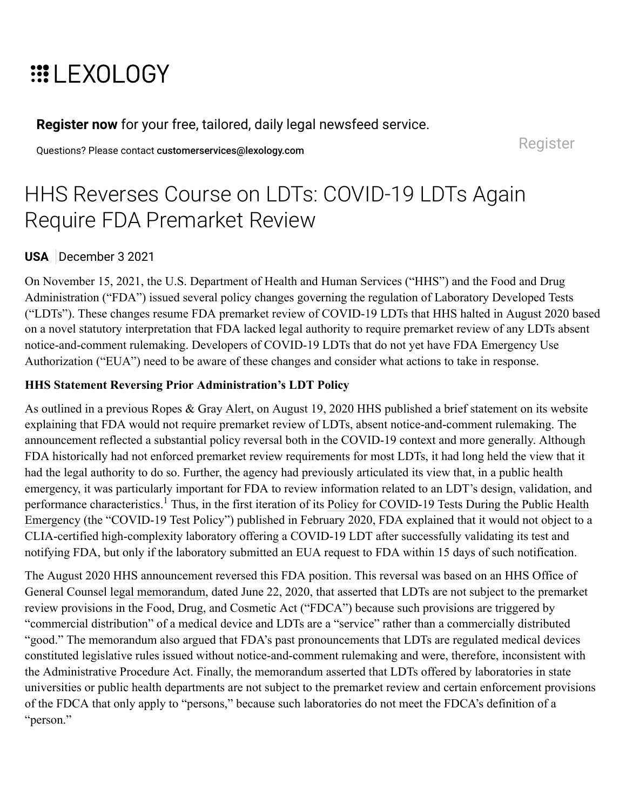# **:::LEXOLOGY**

**[Register now](https://www.lexology.com/account/register.aspx?utm_campaign=register%20now%20to%20read%20this%20article&utm_source=www.lexology.com&utm_medium=article%20precis%20banner&returnurl=%2flibrary%2fdetail.aspx%3fg%3dbbe84d93-8145-4558-8cf2-12c32fc3b82b)** for your free, tailored, daily legal newsfeed service.

Questions? Please contact [customerservices@lexology.com](mailto:customerservices@lexology.com) example and a series are responsed a series  $\mathsf{Register}$  $\mathsf{Register}$  $\mathsf{Register}$ 

# HHS Reverses Course on LDTs: COVID-19 LDTs Again Require FDA Premarket Review

# **[USA](https://www.lexology.com/hub/usa)** December 3 2021

On November 15, 2021, the U.S. Department of Health and Human Services ("HHS") and the Food and Drug Administration ("FDA") issued several policy changes governing the regulation of Laboratory Developed Tests ("LDTs"). These changes resume FDA premarket review of COVID-19 LDTs that HHS halted in August 2020 based on a novel statutory interpretation that FDA lacked legal authority to require premarket review of any LDTs absent notice-and-comment rulemaking. Developers of COVID-19 LDTs that do not yet have FDA Emergency Use Authorization ("EUA") need to be aware of these changes and consider what actions to take in response.

#### **HHS Statement Reversing Prior Administration's LDT Policy**

As outlined in a previous Ropes & Gray [Alert,](https://www.ropesgray.com/en/newsroom/alerts/2020/08/HHS-Prohibits-FDA-from-Requiring-Premarket-Review-of-LDTs-Including-During-the-COVID-19-Emergency) on August 19, 2020 HHS published a brief statement on its website explaining that FDA would not require premarket review of LDTs, absent notice-and-comment rulemaking. The announcement reflected a substantial policy reversal both in the COVID-19 context and more generally. Although FDA historically had not enforced premarket review requirements for most LDTs, it had long held the view that it had the legal authority to do so. Further, the agency had previously articulated its view that, in a public health emergency, it was particularly important for FDA to review information related to an LDT's design, validation, and performance characteristics.<sup>1</sup> Thus, in the first iteration of its Policy for COVID-19 Tests During the Public Health [Emergency \(the "COVID-19 Test Policy"\) published in February 2020, FDA explained that it would not object to a](https://www.fda.gov/media/135659/download) CLIA-certified high-complexity laboratory offering a COVID-19 LDT after successfully validating its test and notifying FDA, but only if the laboratory submitted an EUA request to FDA within 15 days of such notification.

The August 2020 HHS announcement reversed this FDA position. This reversal was based on an HHS Office of General Counsel [legal memorandum,](https://www.politico.com/f/?id=00000174-e9b2-d951-a77f-f9fe04fa0000) dated June 22, 2020, that asserted that LDTs are not subject to the premarket review provisions in the Food, Drug, and Cosmetic Act ("FDCA") because such provisions are triggered by "commercial distribution" of a medical device and LDTs are a "service" rather than a commercially distributed "good." The memorandum also argued that FDA's past pronouncements that LDTs are regulated medical devices constituted legislative rules issued without notice-and-comment rulemaking and were, therefore, inconsistent with the Administrative Procedure Act. Finally, the memorandum asserted that LDTs offered by laboratories in state universities or public health departments are not subject to the premarket review and certain enforcement provisions of the FDCA that only apply to "persons," because such laboratories do not meet the FDCA's definition of a "person."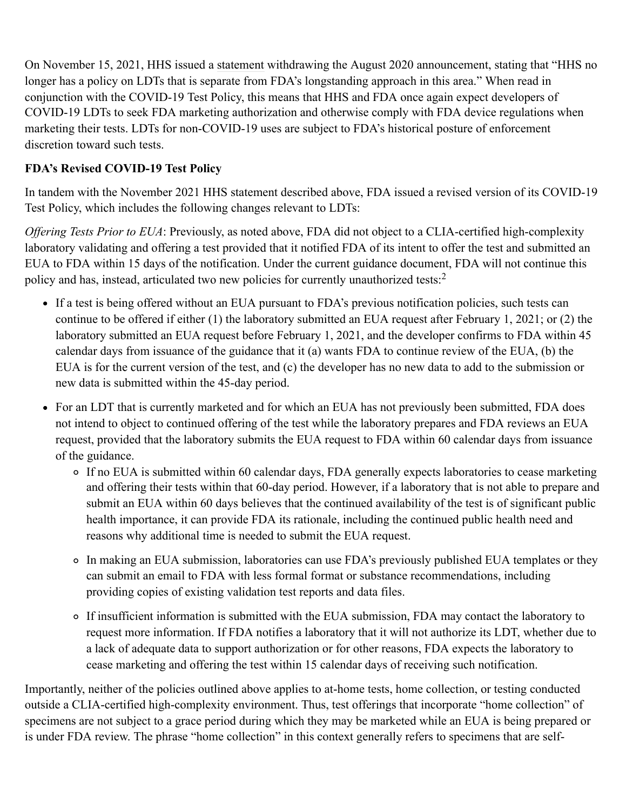On November 15, 2021, HHS issued a [statement](https://www.hhs.gov/about/news/2021/11/15/statement-hhs-secretary-xavier-becerra-withdrawal-hhs-policy-laboratory-developed-tests.html#:~:text=The%20policy%2C%20first%20announced%20on,used%20in%20a%20single%20laboratory.&text=By%20withdrawing%20the%20policy%2C%20HHS,19%20tests%20work%20as%20intended.) withdrawing the August 2020 announcement, stating that "HHS no longer has a policy on LDTs that is separate from FDA's longstanding approach in this area." When read in conjunction with the COVID-19 Test Policy, this means that HHS and FDA once again expect developers of COVID-19 LDTs to seek FDA marketing authorization and otherwise comply with FDA device regulations when marketing their tests. LDTs for non-COVID-19 uses are subject to FDA's historical posture of enforcement discretion toward such tests.

# **FDA's Revised COVID-19 Test Policy**

In tandem with the November 2021 HHS statement described above, FDA issued a revised version of its COVID-19 Test Policy, which includes the following changes relevant to LDTs:

*Offering Tests Prior to EUA*: Previously, as noted above, FDA did not object to a CLIA-certified high-complexity laboratory validating and offering a test provided that it notified FDA of its intent to offer the test and submitted an EUA to FDA within 15 days of the notification. Under the current guidance document, FDA will not continue this policy and has, instead, articulated two new policies for currently unauthorized tests:<sup>2</sup>

- If a test is being offered without an EUA pursuant to FDA's previous notification policies, such tests can continue to be offered if either (1) the laboratory submitted an EUA request after February 1, 2021; or (2) the laboratory submitted an EUA request before February 1, 2021, and the developer confirms to FDA within 45 calendar days from issuance of the guidance that it (a) wants FDA to continue review of the EUA, (b) the EUA is for the current version of the test, and (c) the developer has no new data to add to the submission or new data is submitted within the 45-day period.
- For an LDT that is currently marketed and for which an EUA has not previously been submitted, FDA does not intend to object to continued offering of the test while the laboratory prepares and FDA reviews an EUA request, provided that the laboratory submits the EUA request to FDA within 60 calendar days from issuance of the guidance.
	- If no EUA is submitted within 60 calendar days, FDA generally expects laboratories to cease marketing and offering their tests within that 60-day period. However, if a laboratory that is not able to prepare and submit an EUA within 60 days believes that the continued availability of the test is of significant public health importance, it can provide FDA its rationale, including the continued public health need and reasons why additional time is needed to submit the EUA request.
	- In making an EUA submission, laboratories can use FDA's previously published EUA templates or they can submit an email to FDA with less formal format or substance recommendations, including providing copies of existing validation test reports and data files.
	- If insufficient information is submitted with the EUA submission, FDA may contact the laboratory to request more information. If FDA notifies a laboratory that it will not authorize its LDT, whether due to a lack of adequate data to support authorization or for other reasons, FDA expects the laboratory to cease marketing and offering the test within 15 calendar days of receiving such notification.

Importantly, neither of the policies outlined above applies to at-home tests, home collection, or testing conducted outside a CLIA-certified high-complexity environment. Thus, test offerings that incorporate "home collection" of specimens are not subject to a grace period during which they may be marketed while an EUA is being prepared or is under FDA review. The phrase "home collection" in this context generally refers to specimens that are self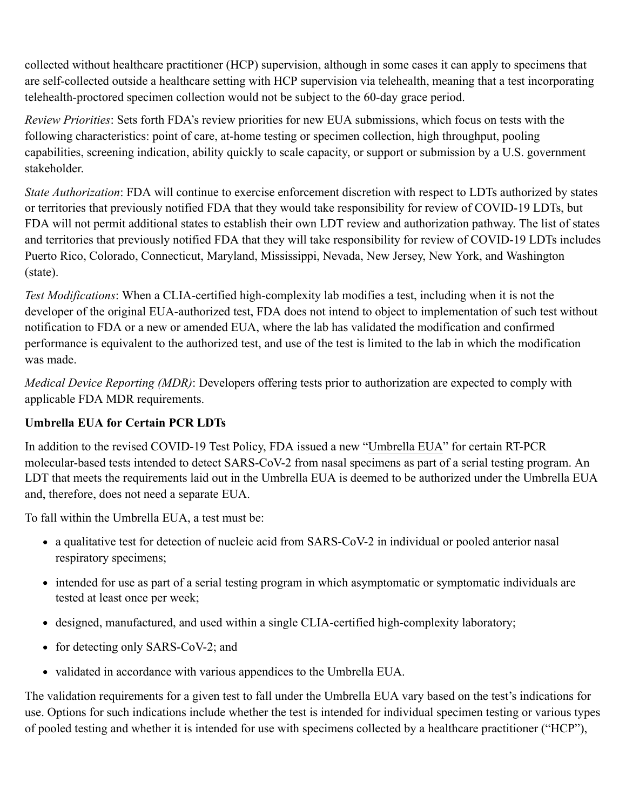collected without healthcare practitioner (HCP) supervision, although in some cases it can apply to specimens that are self-collected outside a healthcare setting with HCP supervision via telehealth, meaning that a test incorporating telehealth-proctored specimen collection would not be subject to the 60-day grace period.

*Review Priorities*: Sets forth FDA's review priorities for new EUA submissions, which focus on tests with the following characteristics: point of care, at-home testing or specimen collection, high throughput, pooling capabilities, screening indication, ability quickly to scale capacity, or support or submission by a U.S. government stakeholder.

*State Authorization*: FDA will continue to exercise enforcement discretion with respect to LDTs authorized by states or territories that previously notified FDA that they would take responsibility for review of COVID-19 LDTs, but FDA will not permit additional states to establish their own LDT review and authorization pathway. The list of states and territories that previously notified FDA that they will take responsibility for review of COVID-19 LDTs includes Puerto Rico, Colorado, Connecticut, Maryland, Mississippi, Nevada, New Jersey, New York, and Washington (state).

*Test Modifications*: When a CLIA-certified high-complexity lab modifies a test, including when it is not the developer of the original EUA-authorized test, FDA does not intend to object to implementation of such test without notification to FDA or a new or amended EUA, where the lab has validated the modification and confirmed performance is equivalent to the authorized test, and use of the test is limited to the lab in which the modification was made.

*Medical Device Reporting (MDR)*: Developers offering tests prior to authorization are expected to comply with applicable FDA MDR requirements.

# **Umbrella EUA for Certain PCR LDTs**

In addition to the revised COVID-19 Test Policy, FDA issued a new "[Umbrella EUA](https://www.fda.gov/media/154111/download)" for certain RT-PCR molecular-based tests intended to detect SARS-CoV-2 from nasal specimens as part of a serial testing program. An LDT that meets the requirements laid out in the Umbrella EUA is deemed to be authorized under the Umbrella EUA and, therefore, does not need a separate EUA.

To fall within the Umbrella EUA, a test must be:

- a qualitative test for detection of nucleic acid from SARS-CoV-2 in individual or pooled anterior nasal respiratory specimens;
- intended for use as part of a serial testing program in which asymptomatic or symptomatic individuals are tested at least once per week;
- designed, manufactured, and used within a single CLIA-certified high-complexity laboratory;
- for detecting only SARS-CoV-2; and
- validated in accordance with various appendices to the Umbrella EUA.

The validation requirements for a given test to fall under the Umbrella EUA vary based on the test's indications for use. Options for such indications include whether the test is intended for individual specimen testing or various types of pooled testing and whether it is intended for use with specimens collected by a healthcare practitioner ("HCP"),